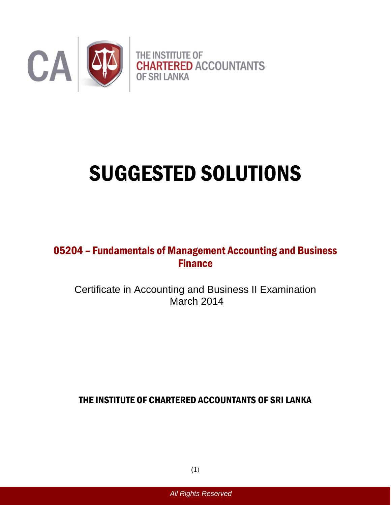

# SUGGESTED SOLUTIONS

# 05204 – Fundamentals of Management Accounting and Business **Finance**

Certificate in Accounting and Business II Examination March 2014

THE INSTITUTE OF CHARTERED ACCOUNTANTS OF SRI LANKA

(1)

*All Rights Reserved*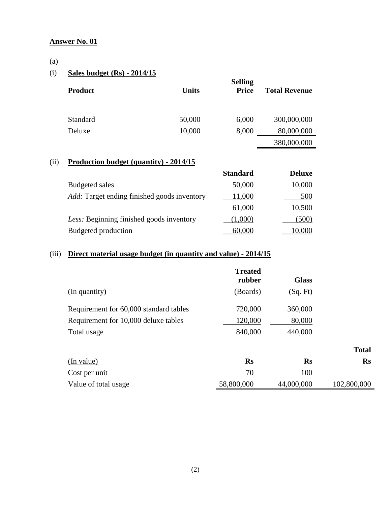#### (a)

#### (i) **Sales budget (Rs) - 2014/15**

| <b>Product</b> | <b>Units</b> | <b>Selling</b><br><b>Price</b> | <b>Total Revenue</b> |
|----------------|--------------|--------------------------------|----------------------|
| Standard       | 50,000       | 6,000                          | 300,000,000          |
| Deluxe         | 10,000       | 8,000                          | 80,000,000           |
|                |              |                                | 380,000,000          |

#### (ii) **Production budget (quantity) - 2014/15**

|                                                    | <b>Standard</b> | <b>Deluxe</b> |
|----------------------------------------------------|-----------------|---------------|
| <b>Budgeted sales</b>                              | 50,000          | 10,000        |
| <i>Add:</i> Target ending finished goods inventory | 11,000          | 500           |
|                                                    | 61,000          | 10,500        |
| Less: Beginning finished goods inventory           | (1,000)         | (500)         |
| Budgeted production                                | 60.000          | 10.000        |

### (iii) **Direct material usage budget (in quantity and value) - 2014/15**

|                                        | <b>Treated</b><br>rubber | <b>Glass</b> |               |
|----------------------------------------|--------------------------|--------------|---------------|
| (In quantity)                          | (Boards)                 | (Sq. Ft)     |               |
| Requirement for 60,000 standard tables | 720,000                  | 360,000      |               |
| Requirement for 10,000 deluxe tables   | 120,000                  | 80,000       |               |
| Total usage                            | 840,000                  | 440,000      |               |
|                                        |                          |              | <b>Total</b>  |
| (In value)                             | <b>Rs</b>                | <b>Rs</b>    | $\mathbf{R}s$ |
| Cost per unit                          | 70                       | 100          |               |
| Value of total usage                   | 58,800,000               | 44,000,000   | 102,800,000   |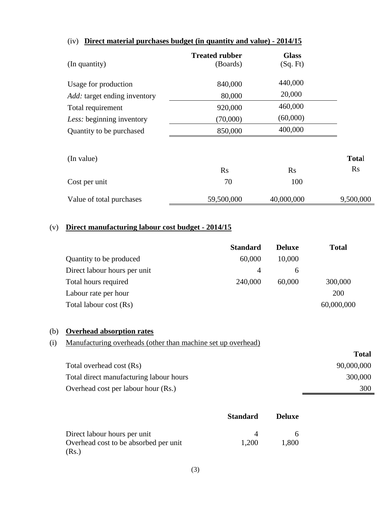| (In quantity)                       | <b>Treated rubber</b><br>(Boards) | <b>Glass</b><br>(Sq. Ft) |              |
|-------------------------------------|-----------------------------------|--------------------------|--------------|
| Usage for production                | 840,000                           | 440,000                  |              |
| <i>Add:</i> target ending inventory | 80,000                            | 20,000                   |              |
| Total requirement                   | 920,000                           | 460,000                  |              |
| Less: beginning inventory           | (70,000)                          | (60,000)                 |              |
| Quantity to be purchased            | 850,000                           | 400,000                  |              |
| (In value)                          |                                   |                          | <b>Total</b> |
|                                     | Rs                                | Rs                       | <b>Rs</b>    |
| Cost per unit                       | 70                                | 100                      |              |
| Value of total purchases            | 59,500,000                        | 40,000,000               | 9,500,000    |

#### (iv) **Direct material purchases budget (in quantity and value) - 2014/15**

#### (v) **Direct manufacturing labour cost budget - 2014/15**

|                              | <b>Standard</b> | <b>Deluxe</b> | <b>Total</b> |
|------------------------------|-----------------|---------------|--------------|
| Quantity to be produced      | 60,000          | 10,000        |              |
| Direct labour hours per unit | 4               | <sub>6</sub>  |              |
| Total hours required         | 240,000         | 60,000        | 300,000      |
| Labour rate per hour         |                 |               | 200          |
| Total labour cost (Rs)       |                 |               | 60,000,000   |

#### (b) **Overhead absorption rates**

#### (i) Manufacturing overheads (other than machine set up overhead)

|                                         | <b>Total</b> |
|-----------------------------------------|--------------|
| Total overhead cost (Rs)                | 90,000,000   |
| Total direct manufacturing labour hours | 300,000      |
| Overhead cost per labour hour (Rs.)     | 300          |

|                                       | <b>Standard</b> | <b>Deluxe</b> |
|---------------------------------------|-----------------|---------------|
| Direct labour hours per unit          |                 |               |
| Overhead cost to be absorbed per unit | 1.200           | 1,800         |
| (Rs.)                                 |                 |               |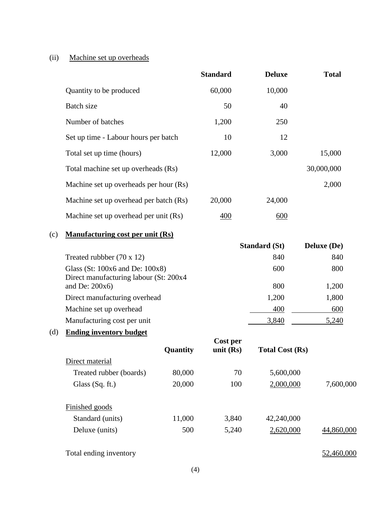#### (ii) Machine set up overheads

|                                        | <b>Standard</b> | <b>Deluxe</b> | <b>Total</b> |
|----------------------------------------|-----------------|---------------|--------------|
| Quantity to be produced                | 60,000          | 10,000        |              |
| Batch size                             | 50              | 40            |              |
| Number of batches                      | 1,200           | 250           |              |
| Set up time - Labour hours per batch   | 10              | 12            |              |
| Total set up time (hours)              | 12,000          | 3,000         | 15,000       |
| Total machine set up overheads (Rs)    |                 |               | 30,000,000   |
| Machine set up overheads per hour (Rs) |                 |               | 2,000        |
| Machine set up overhead per batch (Rs) | 20,000          | 24,000        |              |
| Machine set up overhead per unit (Rs)  | 400             | 600           |              |

#### (c) **Manufacturing cost per unit (Rs)**

|                                                                                | <b>Standard (St)</b> | <b>Deluxe</b> (De) |
|--------------------------------------------------------------------------------|----------------------|--------------------|
| Treated rubbber $(70 \times 12)$                                               | 840                  | 840                |
| Glass (St: $100x6$ and De: $100x8$ )<br>Direct manufacturing labour (St: 200x4 | 600                  | 800                |
| and De: $200x6$ )                                                              | 800                  | 1,200              |
| Direct manufacturing overhead                                                  | 1,200                | 1,800              |
| Machine set up overhead                                                        | 400                  | 600                |
| Manufacturing cost per unit                                                    | 3,840                | 5,240              |

## (d) **Ending inventory budget**

|                         | Quantity | Cost per<br>unit $(Rs)$ | <b>Total Cost (Rs)</b> |            |
|-------------------------|----------|-------------------------|------------------------|------------|
| Direct material         |          |                         |                        |            |
| Treated rubber (boards) | 80,000   | 70                      | 5,600,000              |            |
| Glass $(Sq. ft.)$       | 20,000   | 100                     | 2,000,000              | 7,600,000  |
| Finished goods          |          |                         |                        |            |
| Standard (units)        | 11,000   | 3,840                   | 42,240,000             |            |
| Deluxe (units)          | 500      | 5,240                   | 2,620,000              | 44,860,000 |

Total ending inventory  $\frac{52,460,000}{52,460,000}$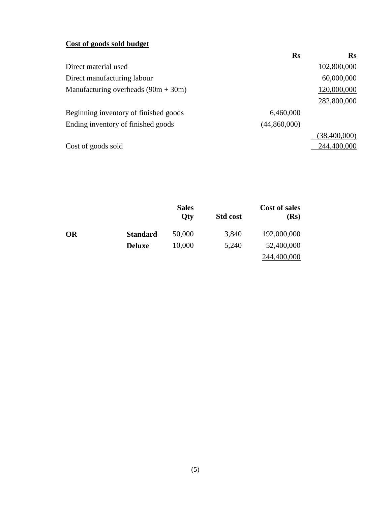#### **Cost of goods sold budget**

|                                       | <b>Rs</b>    | $\mathbf{Rs}$  |
|---------------------------------------|--------------|----------------|
| Direct material used                  |              | 102,800,000    |
| Direct manufacturing labour           |              | 60,000,000     |
| Manufacturing overheads $(90m + 30m)$ |              | 120,000,000    |
|                                       |              | 282,800,000    |
| Beginning inventory of finished goods | 6,460,000    |                |
| Ending inventory of finished goods    | (44,860,000) |                |
|                                       |              | (38, 400, 000) |
| Cost of goods sold                    |              | 244,400,000    |

|           |                 | <b>Sales</b><br><b>Qty</b> | <b>Std cost</b> | <b>Cost of sales</b><br>(Rs) |
|-----------|-----------------|----------------------------|-----------------|------------------------------|
| <b>OR</b> | <b>Standard</b> | 50,000                     | 3,840           | 192,000,000                  |
|           | <b>Deluxe</b>   | 10,000                     | 5,240           | 52,400,000                   |
|           |                 |                            |                 | 244,400,000                  |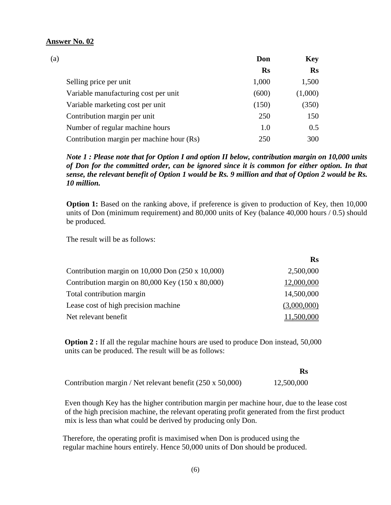| (a) |                                           | Don       | <b>Key</b> |
|-----|-------------------------------------------|-----------|------------|
|     |                                           | <b>Rs</b> | <b>Rs</b>  |
|     | Selling price per unit                    | 1,000     | 1,500      |
|     | Variable manufacturing cost per unit      | (600)     | (1,000)    |
|     | Variable marketing cost per unit          | (150)     | (350)      |
|     | Contribution margin per unit              | 250       | 150        |
|     | Number of regular machine hours           | 1.0       | 0.5        |
|     | Contribution margin per machine hour (Rs) | 250       | 300        |

*Note 1 : Please note that for Option I and option II below, contribution margin on 10,000 units of Don for the committed order, can be ignored since it is common for either option. In that sense, the relevant benefit of Option 1 would be Rs. 9 million and that of Option 2 would be Rs. 10 million.*

**Option 1:** Based on the ranking above, if preference is given to production of Key, then 10,000 units of Don (minimum requirement) and 80,000 units of Key (balance 40,000 hours / 0.5) should be produced.

The result will be as follows:

|                                                           | $\mathbf{R}$ s |
|-----------------------------------------------------------|----------------|
| Contribution margin on $10,000$ Don $(250 \times 10,000)$ | 2,500,000      |
| Contribution margin on $80,000$ Key (150 x $80,000$ )     | 12,000,000     |
| Total contribution margin                                 | 14,500,000     |
| Lease cost of high precision machine                      | (3,000,000)    |
| Net relevant benefit                                      | 11,500,000     |

**Option 2 :** If all the regular machine hours are used to produce Don instead, 50,000 units can be produced. The result will be as follows:

Contribution margin / Net relevant benefit (250 x 50,000) 12,500,000

 Even though Key has the higher contribution margin per machine hour, due to the lease cost of the high precision machine, the relevant operating profit generated from the first product mix is less than what could be derived by producing only Don.

 Therefore, the operating profit is maximised when Don is produced using the regular machine hours entirely. Hence 50,000 units of Don should be produced.

 **Rs**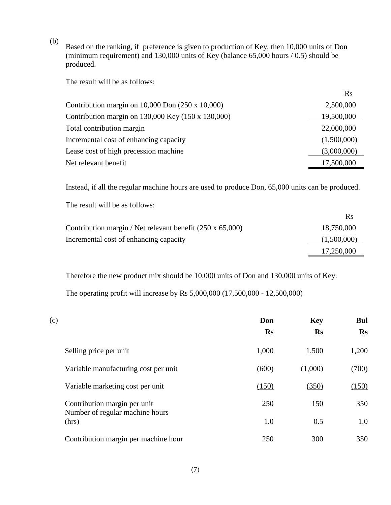Based on the ranking, if preference is given to production of Key, then 10,000 units of Don (minimum requirement) and 130,000 units of Key (balance 65,000 hours / 0.5) should be produced.

The result will be as follows:

(b)

|                                                             | $\mathbf{R}$ s |
|-------------------------------------------------------------|----------------|
| Contribution margin on $10,000$ Don $(250 \times 10,000)$   | 2,500,000      |
| Contribution margin on $130,000$ Key $(150 \times 130,000)$ | 19,500,000     |
| Total contribution margin                                   | 22,000,000     |
| Incremental cost of enhancing capacity                      | (1,500,000)    |
| Lease cost of high precession machine                       | (3,000,000)    |
| Net relevant benefit                                        | 17,500,000     |
|                                                             |                |

Instead, if all the regular machine hours are used to produce Don, 65,000 units can be produced.

The result will be as follows:

|                                                                  | <b>R</b> s  |
|------------------------------------------------------------------|-------------|
| Contribution margin / Net relevant benefit $(250 \times 65,000)$ | 18,750,000  |
| Incremental cost of enhancing capacity                           | (1,500,000) |
|                                                                  | 17,250,000  |

Therefore the new product mix should be 10,000 units of Don and 130,000 units of Key.

The operating profit will increase by Rs 5,000,000 (17,500,000 - 12,500,000)

| (c) |                                          | Don       | <b>Key</b> | <b>Bul</b>     |
|-----|------------------------------------------|-----------|------------|----------------|
|     |                                          | <b>Rs</b> | <b>Rs</b>  | $\mathbf{R}$ s |
|     | Selling price per unit                   | 1,000     | 1,500      | 1,200          |
|     | Variable manufacturing cost per unit     | (600)     | (1,000)    | (700)          |
|     | Variable marketing cost per unit         | (150)     | (350)      | (150)          |
|     | Contribution margin per unit             | 250       | 150        | 350            |
|     | Number of regular machine hours<br>(hrs) | 1.0       | 0.5        | 1.0            |
|     | Contribution margin per machine hour     | 250       | 300        | 350            |

(7)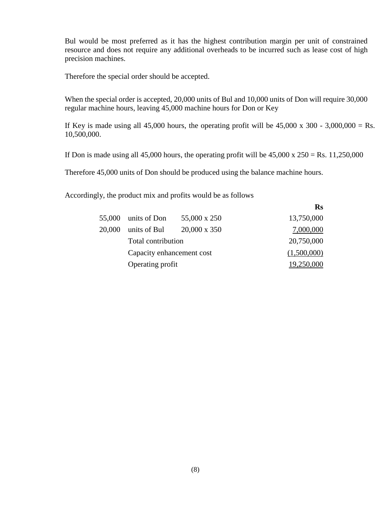Bul would be most preferred as it has the highest contribution margin per unit of constrained resource and does not require any additional overheads to be incurred such as lease cost of high precision machines.

Therefore the special order should be accepted.

When the special order is accepted, 20,000 units of Bul and 10,000 units of Don will require 30,000 regular machine hours, leaving 45,000 machine hours for Don or Key

If Key is made using all 45,000 hours, the operating profit will be  $45,000 \times 300 - 3,000,000 = \text{Rs}.$ 10,500,000.

If Don is made using all 45,000 hours, the operating profit will be  $45,000 \times 250 = \text{Rs}$ . 11,250,000

Therefore 45,000 units of Don should be produced using the balance machine hours.

Accordingly, the product mix and profits would be as follows

| 55,000 | units of Don              | 55,000 x 250        | 13,750,000  |
|--------|---------------------------|---------------------|-------------|
| 20,000 | units of Bul              | $20,000 \times 350$ | 7,000,000   |
|        | Total contribution        |                     | 20,750,000  |
|        | Capacity enhancement cost |                     | (1,500,000) |
|        | Operating profit          |                     | 19,250,000  |

**Rs**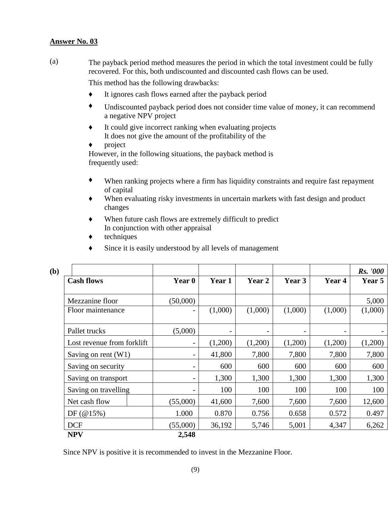(a) The payback period method measures the period in which the total investment could be fully recovered. For this, both undiscounted and discounted cash flows can be used.

This method has the following drawbacks:

- ♦ It ignores cash flows earned after the payback period
- ♦ Undiscounted payback period does not consider time value of money, it can recommend a negative NPV project
- ♦ It could give incorrect ranking when evaluating projects It does not give the amount of the profitability of the
- ♦ project

However, in the following situations, the payback method is frequently used:

- ♦ When ranking projects where a firm has liquidity constraints and require fast repayment of capital
- ♦ When evaluating risky investments in uncertain markets with fast design and product changes
- ♦ When future cash flows are extremely difficult to predict In conjunction with other appraisal
- ♦ techniques
- ♦ Since it is easily understood by all levels of management

| (b) |                            |                          |                          |                          |         |         | <b>Rs.</b> '000 |
|-----|----------------------------|--------------------------|--------------------------|--------------------------|---------|---------|-----------------|
|     | <b>Cash flows</b>          | Year 0                   | Year 1                   | Year 2                   | Year 3  | Year 4  | Year 5          |
|     | Mezzanine floor            | (50,000)                 |                          |                          |         |         | 5,000           |
|     | Floor maintenance          | -                        | (1,000)                  | (1,000)                  | (1,000) | (1,000) | (1,000)         |
|     | Pallet trucks              | (5,000)                  | $\overline{\phantom{a}}$ | $\overline{\phantom{a}}$ |         |         |                 |
|     | Lost revenue from forklift | $\overline{\phantom{a}}$ | (1,200)                  | (1,200)                  | (1,200) | (1,200) | (1,200)         |
|     | Saving on rent $(W1)$      | -                        | 41,800                   | 7,800                    | 7,800   | 7,800   | 7,800           |
|     | Saving on security         | -                        | 600                      | 600                      | 600     | 600     | 600             |
|     | Saving on transport        | -                        | 1,300                    | 1,300                    | 1,300   | 1,300   | 1,300           |
|     | Saving on travelling       |                          | 100                      | 100                      | 100     | 100     | 100             |
|     | Net cash flow              | (55,000)                 | 41,600                   | 7,600                    | 7,600   | 7,600   | 12,600          |
|     | DF(@15%)                   | 1.000                    | 0.870                    | 0.756                    | 0.658   | 0.572   | 0.497           |
|     | <b>DCF</b>                 | (55,000)                 | 36,192                   | 5,746                    | 5,001   | 4,347   | 6,262           |
|     | <b>NPV</b>                 | 2,548                    |                          |                          |         |         |                 |

Since NPV is positive it is recommended to invest in the Mezzanine Floor.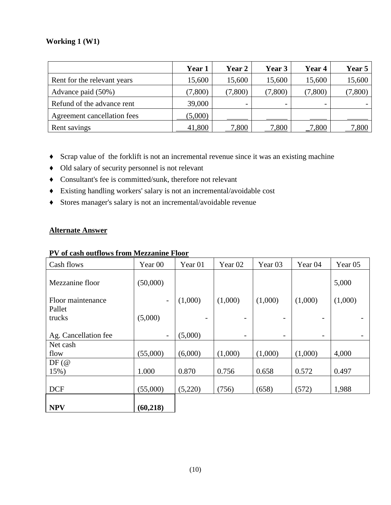#### **Working 1 (W1)**

|                             | Year 1  | <b>Year 2</b> | Year 3  | Year 4  | Year 5  |
|-----------------------------|---------|---------------|---------|---------|---------|
| Rent for the relevant years | 15,600  | 15,600        | 15,600  | 15,600  | 15,600  |
| Advance paid (50%)          | (7,800) | (7,800)       | (7,800) | (7,800) | (7,800) |
| Refund of the advance rent  | 39,000  |               |         | -       |         |
| Agreement cancellation fees | (5,000) |               |         |         |         |
| Rent savings                | 41,800  | 7,800         | 7,800   | 7,800   | ,800    |

- ♦ Scrap value of the forklift is not an incremental revenue since it was an existing machine
- ♦ Old salary of security personnel is not relevant
- ♦ Consultant's fee is committed/sunk, therefore not relevant
- ♦ Existing handling workers' salary is not an incremental/avoidable cost
- ♦ Stores manager's salary is not an incremental/avoidable revenue

#### **Alternate Answer**

| Cash flows           | Year <sub>00</sub>           | Year <sub>01</sub> | Year <sub>02</sub> | Year <sub>03</sub>       | Year <sub>04</sub> | Year 05 |
|----------------------|------------------------------|--------------------|--------------------|--------------------------|--------------------|---------|
| Mezzanine floor      | (50,000)                     |                    |                    |                          |                    | 5,000   |
| Floor maintenance    | $\qquad \qquad -$            | (1,000)            | (1,000)            | (1,000)                  | (1,000)            | (1,000) |
| Pallet<br>trucks     | (5,000)                      |                    |                    |                          |                    |         |
|                      |                              |                    |                    |                          |                    |         |
| Ag. Cancellation fee | $\qquad \qquad \blacksquare$ | (5,000)            | -                  | $\overline{\phantom{a}}$ | -                  |         |
| Net cash             |                              |                    |                    |                          |                    |         |
| flow                 | (55,000)                     | (6,000)            | (1,000)            | (1,000)                  | (1,000)            | 4,000   |
| DF(@)                |                              |                    |                    |                          |                    |         |
| 15%)                 | 1.000                        | 0.870              | 0.756              | 0.658                    | 0.572              | 0.497   |
|                      |                              |                    |                    |                          |                    |         |
| <b>DCF</b>           | (55,000)                     | (5,220)            | (756)              | (658)                    | (572)              | 1,988   |
| <b>NPV</b>           | (60, 218)                    |                    |                    |                          |                    |         |

#### **PV of cash outflows from Mezzanine Floor**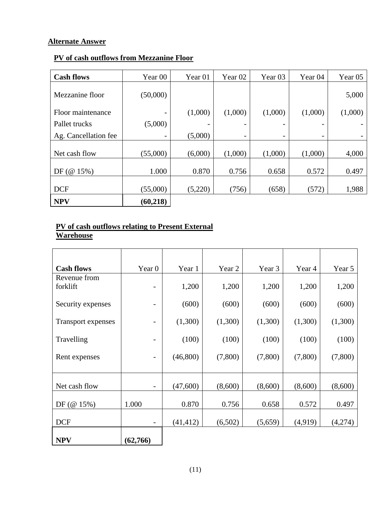#### **Alternate Answer**

#### **PV of cash outflows from Mezzanine Floor**

| <b>Cash flows</b>    | Year 00   | Year <sub>01</sub> | Year <sub>02</sub> | Year <sub>03</sub> | Year <sub>04</sub>       | Year <sub>05</sub> |
|----------------------|-----------|--------------------|--------------------|--------------------|--------------------------|--------------------|
| Mezzanine floor      | (50,000)  |                    |                    |                    |                          | 5,000              |
| Floor maintenance    |           | (1,000)            | (1,000)            | (1,000)            | (1,000)                  | (1,000)            |
| Pallet trucks        | (5,000)   |                    |                    |                    |                          |                    |
| Ag. Cancellation fee |           | (5,000)            | -                  |                    | $\overline{\phantom{a}}$ |                    |
| Net cash flow        | (55,000)  | (6,000)            | (1,000)            | (1,000)            | (1,000)                  | 4,000              |
| DF(@15%)             | 1.000     | 0.870              | 0.756              | 0.658              | 0.572                    | 0.497              |
| <b>DCF</b>           | (55,000)  | (5,220)            | (756)              | (658)              | (572)                    | 1,988              |
| <b>NPV</b>           | (60, 218) |                    |                    |                    |                          |                    |

#### **PV of cash outflows relating to Present External Warehouse**

| <b>Cash flows</b>         | Year 0   | Year 1    | Year 2  | Year 3  | Year 4  | Year 5  |
|---------------------------|----------|-----------|---------|---------|---------|---------|
| Revenue from              |          |           |         |         |         |         |
| forklift                  |          | 1,200     | 1,200   | 1,200   | 1,200   | 1,200   |
| Security expenses         | -        | (600)     | (600)   | (600)   | (600)   | (600)   |
| <b>Transport expenses</b> | -        | (1,300)   | (1,300) | (1,300) | (1,300) | (1,300) |
| Travelling                |          | (100)     | (100)   | (100)   | (100)   | (100)   |
| Rent expenses             | -        | (46,800)  | (7,800) | (7,800) | (7,800) | (7,800) |
|                           |          |           |         |         |         |         |
| Net cash flow             | -        | (47,600)  | (8,600) | (8,600) | (8,600) | (8,600) |
| DF $(\emptyset 15\%)$     | 1.000    | 0.870     | 0.756   | 0.658   | 0.572   | 0.497   |
| <b>DCF</b>                | -        | (41, 412) | (6,502) | (5,659) | (4,919) | (4,274) |
| <b>NPV</b>                | (62,766) |           |         |         |         |         |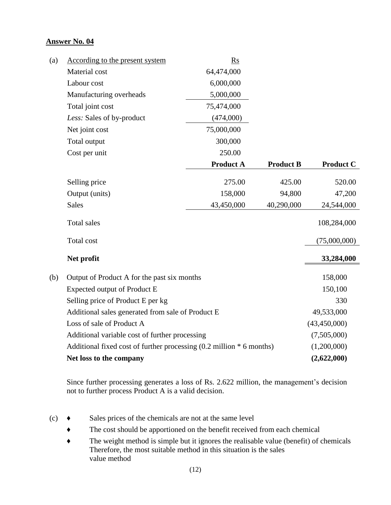| (a) | According to the present system                                      | <b>Rs</b>        |                  |                  |
|-----|----------------------------------------------------------------------|------------------|------------------|------------------|
|     | Material cost                                                        | 64,474,000       |                  |                  |
|     | Labour cost                                                          | 6,000,000        |                  |                  |
|     | Manufacturing overheads                                              | 5,000,000        |                  |                  |
|     | Total joint cost                                                     | 75,474,000       |                  |                  |
|     | Less: Sales of by-product                                            | (474,000)        |                  |                  |
|     | Net joint cost                                                       | 75,000,000       |                  |                  |
|     | Total output                                                         | 300,000          |                  |                  |
|     | Cost per unit                                                        | 250.00           |                  |                  |
|     |                                                                      | <b>Product A</b> | <b>Product B</b> | <b>Product C</b> |
|     | Selling price                                                        | 275.00           | 425.00           | 520.00           |
|     | Output (units)                                                       | 158,000          | 94,800           | 47,200           |
|     | <b>Sales</b>                                                         | 43,450,000       | 40,290,000       | 24,544,000       |
|     | <b>Total sales</b>                                                   |                  |                  | 108,284,000      |
|     | Total cost                                                           |                  |                  | (75,000,000)     |
|     | Net profit                                                           |                  |                  | 33,284,000       |
| (b) | Output of Product A for the past six months                          |                  |                  | 158,000          |
|     | Expected output of Product E                                         | 150,100          |                  |                  |
|     | Selling price of Product E per kg                                    | 330              |                  |                  |
|     | Additional sales generated from sale of Product E                    | 49,533,000       |                  |                  |
|     | Loss of sale of Product A                                            | (43, 450, 000)   |                  |                  |
|     | Additional variable cost of further processing                       | (7,505,000)      |                  |                  |
|     | Additional fixed cost of further processing (0.2 million * 6 months) |                  |                  | (1,200,000)      |
|     | Net loss to the company                                              | (2,622,000)      |                  |                  |

Since further processing generates a loss of Rs. 2.622 million, the management's decision not to further process Product A is a valid decision.

- $(c) \rightarrow$  Sales prices of the chemicals are not at the same level
	- ♦ The cost should be apportioned on the benefit received from each chemical
	- ♦ The weight method is simple but it ignores the realisable value (benefit) of chemicals Therefore, the most suitable method in this situation is the sales value method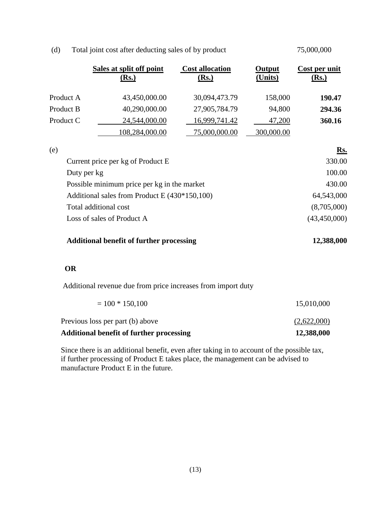|             | Sales at split off point<br><u>(Rs.)</u>        | <b>Cost allocation</b><br><u>(Rs.)</u> | Output<br>(Units) | Cost per unit<br><u>(Rs.)</u> |
|-------------|-------------------------------------------------|----------------------------------------|-------------------|-------------------------------|
| Product A   | 43,450,000.00                                   | 30,094,473.79                          | 158,000           | 190.47                        |
| Product B   | 40,290,000.00                                   | 27,905,784.79                          | 94,800            | 294.36                        |
| Product C   | 24,544,000.00                                   | 16,999,741.42                          | 47,200            | 360.16                        |
|             | 108,284,000.00                                  | 75,000,000.00                          | 300,000.00        |                               |
| (e)         |                                                 |                                        |                   | Rs.                           |
|             | Current price per kg of Product E               |                                        |                   | 330.00                        |
| Duty per kg |                                                 |                                        |                   | 100.00                        |
|             | Possible minimum price per kg in the market     |                                        |                   | 430.00                        |
|             | Additional sales from Product E (430*150,100)   |                                        |                   | 64,543,000                    |
|             | Total additional cost                           |                                        |                   | (8,705,000)                   |
|             | Loss of sales of Product A                      |                                        |                   | (43, 450, 000)                |
|             | <b>Additional benefit of further processing</b> |                                        |                   | 12,388,000                    |

75,000,000

#### (d) Total joint cost after deducting sales of by product

#### **OR**

Additional revenue due from price increases from import duty

| Additional benefit of further processing | 12,388,000  |
|------------------------------------------|-------------|
| Previous loss per part (b) above         | (2,622,000) |
| $= 100 * 150,100$                        | 15,010,000  |

 Since there is an additional benefit, even after taking in to account of the possible tax, if further processing of Product E takes place, the management can be advised to manufacture Product E in the future.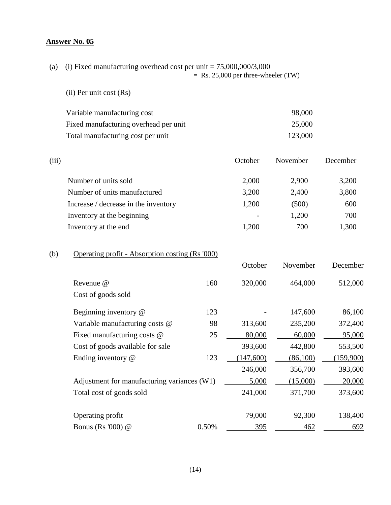(a) (i) Fixed manufacturing overhead cost per unit  $= 75,000,000/3,000$  **=** Rs. 25,000 per three-wheeler (TW)

#### (ii) Per unit cost (Rs)

| Variable manufacturing cost           | 98,000  |
|---------------------------------------|---------|
| Fixed manufacturing overhead per unit | 25,000  |
| Total manufacturing cost per unit     | 123,000 |

| (iii) |                                      | October | November | December |
|-------|--------------------------------------|---------|----------|----------|
|       | Number of units sold                 | 2,000   | 2,900    | 3,200    |
|       | Number of units manufactured         | 3,200   | 2,400    | 3,800    |
|       | Increase / decrease in the inventory | 1,200   | (500)    | 600      |
|       | Inventory at the beginning           |         | 1,200    | 700      |
|       | Inventory at the end                 | 1.200   | 700      | 1,300    |

# (b) Operating profit - Absorption costing (Rs '000)

|                                             |       | October | November | December  |
|---------------------------------------------|-------|---------|----------|-----------|
| Revenue @                                   | 160   | 320,000 | 464,000  | 512,000   |
| Cost of goods sold                          |       |         |          |           |
| Beginning inventory @                       | 123   |         | 147,600  | 86,100    |
| Variable manufacturing costs @              | 98    | 313,600 | 235,200  | 372,400   |
| Fixed manufacturing costs @                 | 25    | 80,000  | 60,000   | 95,000    |
| Cost of goods available for sale            |       | 393,600 | 442,800  | 553,500   |
| Ending inventory @                          | 123   | 147,600 | (86,100) | (159,900) |
|                                             |       | 246,000 | 356,700  | 393,600   |
| Adjustment for manufacturing variances (W1) |       | 5,000   | (15,000) | 20,000    |
| Total cost of goods sold                    |       | 241,000 | 371,700  | 373,600   |
|                                             |       |         |          |           |
| Operating profit                            |       | 79,000  | 92,300   | 138,400   |
| Bonus (Rs '000) @                           | 0.50% | 395     | 462      | 692       |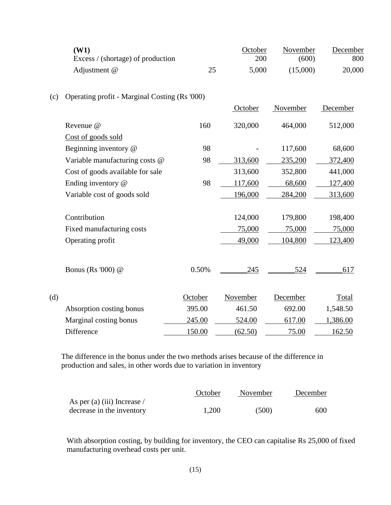|     | (W1)<br>Excess / (shortage) of production     |         | October<br>200 | November<br>(600) | December<br>800 |
|-----|-----------------------------------------------|---------|----------------|-------------------|-----------------|
|     | Adjustment @                                  | 25      | 5,000          | (15,000)          | 20,000          |
| (c) | Operating profit - Marginal Costing (Rs '000) |         |                |                   |                 |
|     |                                               |         | October        | November          | December        |
|     | Revenue @                                     | 160     | 320,000        | 464,000           | 512,000         |
|     | Cost of goods sold                            |         |                |                   |                 |
|     | Beginning inventory @                         | 98      |                | 117,600           | 68,600          |
|     | Variable manufacturing costs @                | 98      | 313,600        | 235,200           | 372,400         |
|     | Cost of goods available for sale              |         | 313,600        | 352,800           | 441,000         |
|     | Ending inventory @                            | 98      | 117,600        | 68,600            | 127,400         |
|     | Variable cost of goods sold                   |         | 196,000        | 284,200           | 313,600         |
|     | Contribution                                  |         | 124,000        | 179,800           | 198,400         |
|     | Fixed manufacturing costs                     |         | 75,000         | 75,000            | 75,000          |
|     | Operating profit                              |         | 49,000         | 104,800           | 123,400         |
|     | Bonus (Rs '000) @                             | 0.50%   | 245            | 524               | 617             |
| (d) |                                               | October | November       | December          | Total           |
|     | Absorption costing bonus                      | 395.00  | 461.50         | 692.00            | 1,548.50        |
|     | Marginal costing bonus                        | 245.00  | 524.00         | 617.00            | 1,386.00        |
|     | Difference                                    | 150.00  | (62.50)        | 75.00             | 162.50          |

 The difference in the bonus under the two methods arises because of the difference in production and sales, in other words due to variation in inventory

|                                    | October | November | December |
|------------------------------------|---------|----------|----------|
| As per (a) (iii) Increase $\prime$ |         |          |          |
| decrease in the inventory          | 1,200   | (500)    | 600      |

With absorption costing, by building for inventory, the CEO can capitalise Rs 25,000 of fixed manufacturing overhead costs per unit.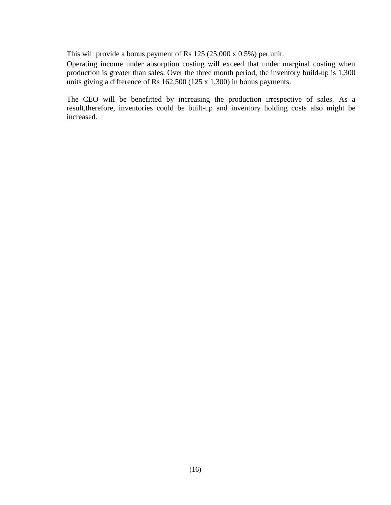This will provide a bonus payment of Rs 125 (25,000 x 0.5%) per unit.

Operating income under absorption costing will exceed that under marginal costing when production is greater than sales. Over the three month period, the inventory build-up is 1,300 units giving a difference of Rs 162,500 (125 x 1,300) in bonus payments.

The CEO will be benefitted by increasing the production irrespective of sales. As a result,therefore, inventories could be built-up and inventory holding costs also might be increased.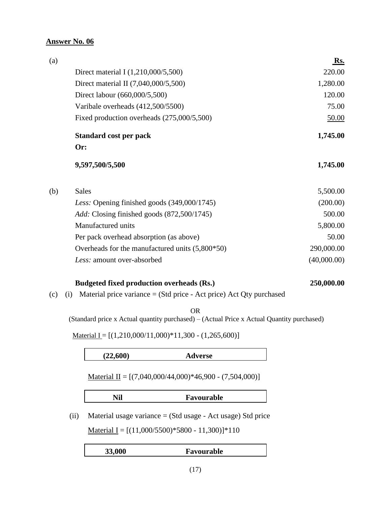| (a) |                                                   | Rs.         |
|-----|---------------------------------------------------|-------------|
|     | Direct material I (1,210,000/5,500)               | 220.00      |
|     | Direct material II (7,040,000/5,500)              | 1,280.00    |
|     | Direct labour (660,000/5,500)                     | 120.00      |
|     | Varibale overheads (412,500/5500)                 | 75.00       |
|     | Fixed production overheads (275,000/5,500)        | 50.00       |
|     | <b>Standard cost per pack</b>                     | 1,745.00    |
|     | Or:                                               |             |
|     | 9,597,500/5,500                                   | 1,745.00    |
| (b) | <b>Sales</b>                                      | 5,500.00    |
|     | Less: Opening finished goods (349,000/1745)       | (200.00)    |
|     | <i>Add:</i> Closing finished goods (872,500/1745) | 500.00      |
|     | Manufactured units                                | 5,800.00    |
|     | Per pack overhead absorption (as above)           | 50.00       |
|     | Overheads for the manufactured units $(5,800*50)$ | 290,000.00  |
|     | Less: amount over-absorbed                        | (40,000.00) |
|     |                                                   |             |

#### **Budgeted fixed production overheads (Rs.) 250,000.00**

(c) (i) Material price variance = (Std price - Act price) Act Qty purchased

OR

(Standard price x Actual quantity purchased) – (Actual Price x Actual Quantity purchased)

Material I =  $[(1,210,000/11,000)*11,300 - (1,265,600)]$ 

#### **(22,600) Adverse**

Material II =  $[(7,040,000/44,000)*46,900 - (7,504,000)]$ 

| Nil | Favourable |
|-----|------------|
|     |            |

(ii) Material usage variance = (Std usage - Act usage) Std price

Material I =  $[(11,000/5500)*5800 - 11,300)]*110$ 

| 33,000 | Favourable |
|--------|------------|
|        |            |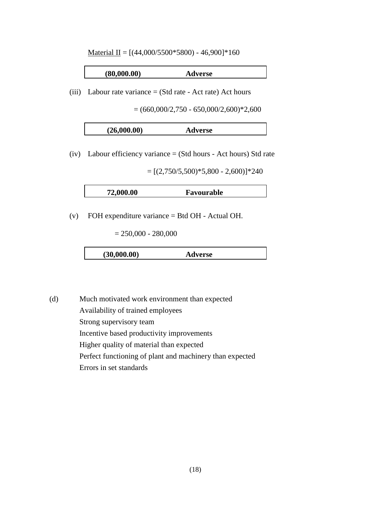Material II =  $[(44,000/5500*5800) - 46,900] * 160$ 

| (80,000.00) | <b>Adverse</b> |
|-------------|----------------|
|             |                |

(iii) Labour rate variance = (Std rate - Act rate) Act hours

 $= (660,000/2,750 - 650,000/2,600)$ <sup>\*</sup>2,600

| (26,000.00)<br>Adverse |
|------------------------|
|------------------------|

(iv) Labour efficiency variance = (Std hours - Act hours) Std rate

 $=[(2,750/5,500)*5,800 - 2,600)]*240$ 

| 72,000.00 | Favourable |
|-----------|------------|
|           |            |

(v) FOH expenditure variance = Btd OH - Actual OH.

 $= 250,000 - 280,000$ 

| (30,000.00)<br><b>Adverse</b> |
|-------------------------------|
|-------------------------------|

(d) Much motivated work environment than expected Availability of trained employees Strong supervisory team Incentive based productivity improvements Higher quality of material than expected Perfect functioning of plant and machinery than expected Errors in set standards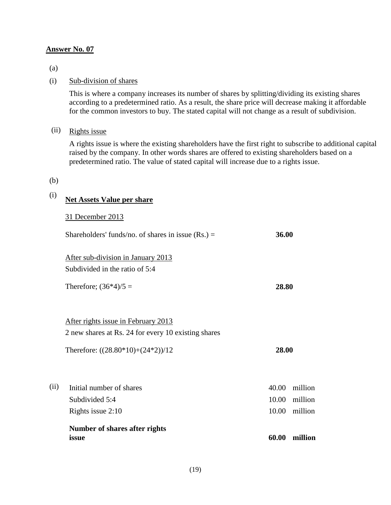(a)

#### (i) Sub-division of shares

This is where a company increases its number of shares by splitting/dividing its existing shares according to a predetermined ratio. As a result, the share price will decrease making it affordable for the common investors to buy. The stated capital will not change as a result of subdivision.

#### (ii) Rights issue

A rights issue is where the existing shareholders have the first right to subscribe to additional capital raised by the company. In other words shares are offered to existing shareholders based on a predetermined ratio. The value of stated capital will increase due to a rights issue.

#### (b)

# (i) **Net Assets Value per share**

31 December 2013

|      | Number of shares after rights<br>issue               | 60.00 | million |
|------|------------------------------------------------------|-------|---------|
|      | Rights issue 2:10                                    | 10.00 | million |
|      | Subdivided 5:4                                       | 10.00 | million |
| (ii) | Initial number of shares                             | 40.00 | million |
|      | Therefore: $((28.80*10)+(24*2))/12$                  | 28.00 |         |
|      | 2 new shares at Rs. 24 for every 10 existing shares  |       |         |
|      | After rights issue in February 2013                  |       |         |
|      |                                                      |       |         |
|      | Therefore; $(36*4)/5 =$                              | 28.80 |         |
|      | Subdivided in the ratio of 5:4                       |       |         |
|      | After sub-division in January 2013                   |       |         |
|      | Shareholders' funds/no. of shares in issue $(Rs.) =$ | 36.00 |         |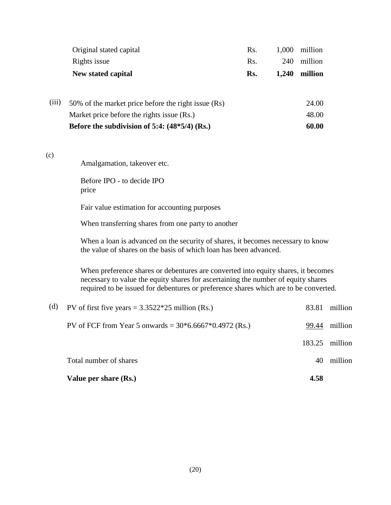|       | Original stated capital                                                                                                                                                                                                                                        | Rs. | 1,000 | million |         |  |  |
|-------|----------------------------------------------------------------------------------------------------------------------------------------------------------------------------------------------------------------------------------------------------------------|-----|-------|---------|---------|--|--|
|       | Rights issue                                                                                                                                                                                                                                                   | Rs. | 240   | million |         |  |  |
|       | New stated capital                                                                                                                                                                                                                                             | Rs. | 1,240 | million |         |  |  |
|       |                                                                                                                                                                                                                                                                |     |       |         |         |  |  |
| (iii) | 50% of the market price before the right issue (Rs)                                                                                                                                                                                                            |     |       | 24.00   |         |  |  |
|       | Market price before the rights issue (Rs.)                                                                                                                                                                                                                     |     |       | 48.00   |         |  |  |
|       | Before the subdivision of 5:4: $(48*5/4)$ (Rs.)                                                                                                                                                                                                                |     |       | 60.00   |         |  |  |
|       |                                                                                                                                                                                                                                                                |     |       |         |         |  |  |
| (c)   | Amalgamation, takeover etc.                                                                                                                                                                                                                                    |     |       |         |         |  |  |
|       | Before IPO - to decide IPO<br>price                                                                                                                                                                                                                            |     |       |         |         |  |  |
|       | Fair value estimation for accounting purposes                                                                                                                                                                                                                  |     |       |         |         |  |  |
|       | When transferring shares from one party to another                                                                                                                                                                                                             |     |       |         |         |  |  |
|       | When a loan is advanced on the security of shares, it becomes necessary to know<br>the value of shares on the basis of which loan has been advanced.                                                                                                           |     |       |         |         |  |  |
|       | When preference shares or debentures are converted into equity shares, it becomes<br>necessary to value the equity shares for ascertaining the number of equity shares<br>required to be issued for debentures or preference shares which are to be converted. |     |       |         |         |  |  |
| (d)   | PV of first five years = $3.3522*25$ million (Rs.)                                                                                                                                                                                                             |     |       | 83.81   | million |  |  |
|       | PV of FCF from Year 5 onwards = $30*6.6667*0.4972$ (Rs.)                                                                                                                                                                                                       |     |       | 99.44   | million |  |  |
|       |                                                                                                                                                                                                                                                                |     |       | 183.25  | million |  |  |

Total number of shares 40 million

**Value per share (Rs.) 4.58**